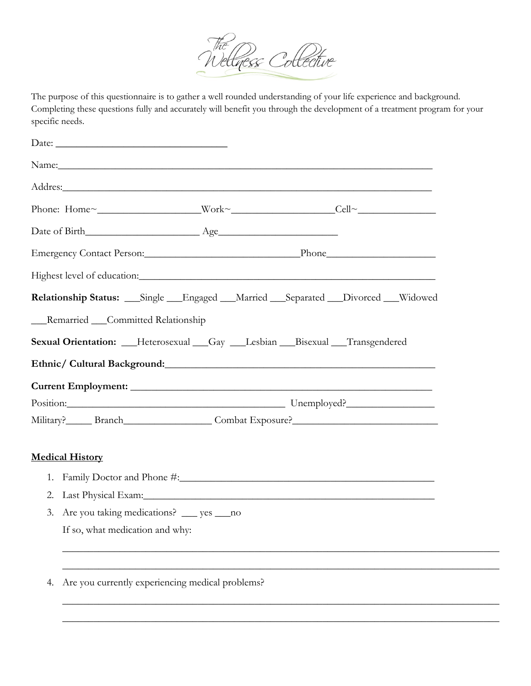

The purpose of this questionnaire is to gather a well rounded understanding of your life experience and background. Completing these questions fully and accurately will benefit you through the development of a treatment program for your specific needs.

| Name: Name: Name: Name: Name: Name: Name: Name: Name: Name: Name: Name: Name: Name: Name: Name: Name: Name: Name: Name: Name: Name: Name: Name: Name: Name: Name: Name: Name: Name: Name: Name: Name: Name: Name: Name: Name:        |  |  |  |
|--------------------------------------------------------------------------------------------------------------------------------------------------------------------------------------------------------------------------------------|--|--|--|
| Addres: Andres Addres Addres Addres Addres Addres Addres Addres Addres Addres Addres Addres Addres A                                                                                                                                 |  |  |  |
|                                                                                                                                                                                                                                      |  |  |  |
|                                                                                                                                                                                                                                      |  |  |  |
| Emergency Contact Person: Phone Phone Phone                                                                                                                                                                                          |  |  |  |
| Highest level of education: Manual Manual Manual Manual Manual Manual Manual Manual Manual Manual Manual Manua                                                                                                                       |  |  |  |
| Relationship Status: ___Single ___Engaged ___Married ___Separated ___Divorced ___Widowed                                                                                                                                             |  |  |  |
| __Remarried __Committed Relationship                                                                                                                                                                                                 |  |  |  |
| Sexual Orientation: __Heterosexual __Gay __Lesbian __Bisexual __Transgendered                                                                                                                                                        |  |  |  |
| Ethnic/ Cultural Background: Manual According to the Contract of the Contract of the Contract of the Contract of the Contract of the Contract of the Contract of the Contract of the Contract of the Contract of the Contract        |  |  |  |
|                                                                                                                                                                                                                                      |  |  |  |
| Position: Unemployed?                                                                                                                                                                                                                |  |  |  |
| Military? Branch Branch Combat Exposure?                                                                                                                                                                                             |  |  |  |
| <b>Medical History</b>                                                                                                                                                                                                               |  |  |  |
| 1.                                                                                                                                                                                                                                   |  |  |  |
| Last Physical Exam: The Contract of the Contract of the Contract of the Contract of the Contract of the Contract of the Contract of the Contract of the Contract of the Contract of the Contract of the Contract of the Contra<br>2. |  |  |  |
| Are you taking medications? ___ yes ___ no<br>3.                                                                                                                                                                                     |  |  |  |
| If so, what medication and why:                                                                                                                                                                                                      |  |  |  |
|                                                                                                                                                                                                                                      |  |  |  |
|                                                                                                                                                                                                                                      |  |  |  |

\_\_\_\_\_\_\_\_\_\_\_\_\_\_\_\_\_\_\_\_\_\_\_\_\_\_\_\_\_\_\_\_\_\_\_\_\_\_\_\_\_\_\_\_\_\_\_\_\_\_\_\_\_\_\_\_\_\_\_\_\_\_\_\_\_\_\_\_\_\_\_\_\_\_\_\_\_\_\_\_\_\_\_\_

\_\_\_\_\_\_\_\_\_\_\_\_\_\_\_\_\_\_\_\_\_\_\_\_\_\_\_\_\_\_\_\_\_\_\_\_\_\_\_\_\_\_\_\_\_\_\_\_\_\_\_\_\_\_\_\_\_\_\_\_\_\_\_\_\_\_\_\_\_\_\_\_\_\_\_\_\_\_\_\_\_\_\_\_

4. Are you currently experiencing medical problems?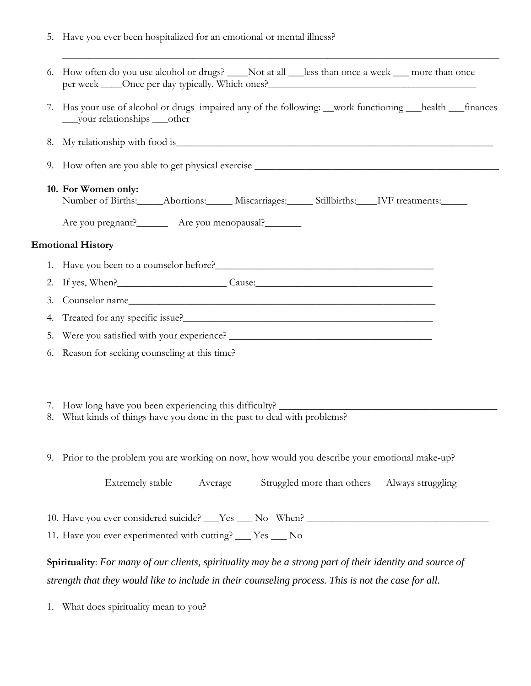5. Have you ever been hospitalized for an emotional or mental illness?

|    | 6. How often do you use alcohol or drugs? ____ Not at all ___less than once a week ___ more than once<br>per week ____Once per day typically. Which ones?________________________________                       |  |  |  |  |  |
|----|-----------------------------------------------------------------------------------------------------------------------------------------------------------------------------------------------------------------|--|--|--|--|--|
| 7. | Has your use of alcohol or drugs impaired any of the following: __work functioning __health __finances<br>____vour relationships ____other                                                                      |  |  |  |  |  |
| 8. |                                                                                                                                                                                                                 |  |  |  |  |  |
|    | 9. How often are you able to get physical exercise ______________________________                                                                                                                               |  |  |  |  |  |
|    | 10. For Women only:<br>Number of Births:_____Abortions:______ Miscarriages:______ Stillbirths:____IVF treatments:_____                                                                                          |  |  |  |  |  |
|    | Are you pregnant?________ Are you menopausal?________                                                                                                                                                           |  |  |  |  |  |
|    | <b>Emotional History</b>                                                                                                                                                                                        |  |  |  |  |  |
|    |                                                                                                                                                                                                                 |  |  |  |  |  |
|    | 2. If yes, When? Cause: Cause:                                                                                                                                                                                  |  |  |  |  |  |
| 3. |                                                                                                                                                                                                                 |  |  |  |  |  |
| 4. |                                                                                                                                                                                                                 |  |  |  |  |  |
| 5. |                                                                                                                                                                                                                 |  |  |  |  |  |
|    | 6. Reason for seeking counseling at this time?                                                                                                                                                                  |  |  |  |  |  |
| 8. | 7. How long have you been experiencing this difficulty? _________________________<br>What kinds of things have you done in the past to deal with problems?                                                      |  |  |  |  |  |
|    | 9. Prior to the problem you are working on now, how would you describe your emotional make-up?                                                                                                                  |  |  |  |  |  |
|    | Extremely stable<br>Average<br>Struggled more than others<br>Always struggling                                                                                                                                  |  |  |  |  |  |
|    | 10. Have you ever considered suicide? ___Yes ___ No When? ______________________                                                                                                                                |  |  |  |  |  |
|    | 11. Have you ever experimented with cutting? ___ Yes ___ No                                                                                                                                                     |  |  |  |  |  |
|    | Spirituality: For many of our clients, spirituality may be a strong part of their identity and source of<br>strength that they would like to include in their counseling process. This is not the case for all. |  |  |  |  |  |
| 1. | What does spirituality mean to you?                                                                                                                                                                             |  |  |  |  |  |

\_\_\_\_\_\_\_\_\_\_\_\_\_\_\_\_\_\_\_\_\_\_\_\_\_\_\_\_\_\_\_\_\_\_\_\_\_\_\_\_\_\_\_\_\_\_\_\_\_\_\_\_\_\_\_\_\_\_\_\_\_\_\_\_\_\_\_\_\_\_\_\_\_\_\_\_\_\_\_\_\_\_\_\_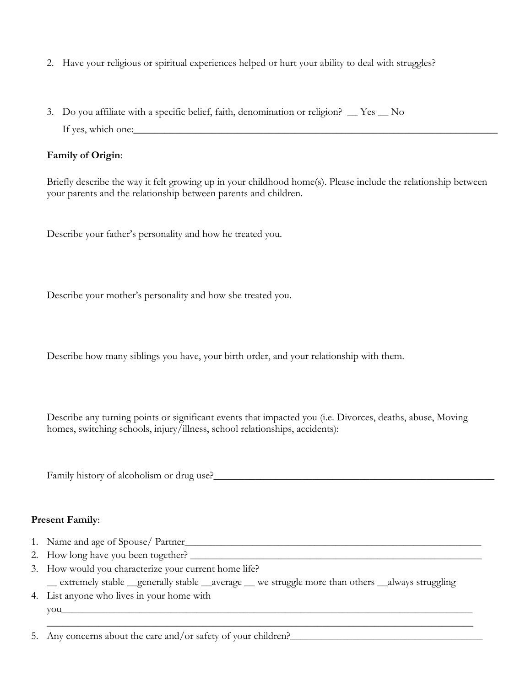- 2. Have your religious or spiritual experiences helped or hurt your ability to deal with struggles?
- 3. Do you affiliate with a specific belief, faith, denomination or religion? \_\_ Yes \_\_ No If yes, which one:

## **Family of Origin**:

Briefly describe the way it felt growing up in your childhood home(s). Please include the relationship between your parents and the relationship between parents and children.

Describe your father's personality and how he treated you.

Describe your mother's personality and how she treated you.

Describe how many siblings you have, your birth order, and your relationship with them.

Describe any turning points or significant events that impacted you (i.e. Divorces, deaths, abuse, Moving homes, switching schools, injury/illness, school relationships, accidents):

Family history of alcoholism or drug use?\_\_\_\_\_\_\_\_\_\_\_\_\_\_\_\_\_\_\_\_\_\_\_\_\_\_\_\_\_\_\_\_\_\_\_\_\_\_\_\_\_\_\_\_\_\_\_\_\_\_\_\_\_\_

## **Present Family**:

- 1. Name and age of Spouse/ Partner\_\_\_\_\_\_\_\_\_\_\_\_\_\_\_\_\_\_\_\_\_\_\_\_\_\_\_\_\_\_\_\_\_\_\_\_\_\_\_\_\_\_\_\_\_\_\_\_\_\_\_\_\_\_\_\_\_
- 2. How long have you been together?
- 3. How would you characterize your current home life? \_\_ extremely stable \_\_generally stable \_\_average \_\_ we struggle more than others \_\_always struggling

\_\_\_\_\_\_\_\_\_\_\_\_\_\_\_\_\_\_\_\_\_\_\_\_\_\_\_\_\_\_\_\_\_\_\_\_\_\_\_\_\_\_\_\_\_\_\_\_\_\_\_\_\_\_\_\_\_\_\_\_\_\_\_\_\_\_\_\_\_\_\_\_\_\_\_\_\_\_\_\_\_\_

4. List anyone who lives in your home with  $\text{you}$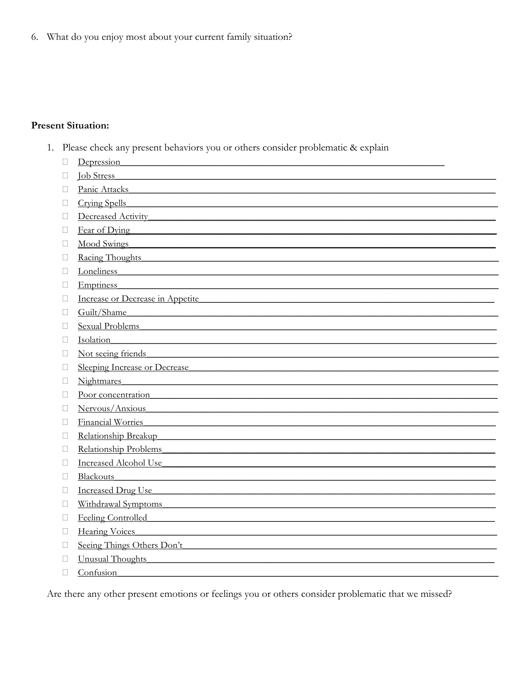6. What do you enjoy most about your current family situation?

## **Present Situation:**

1. Please check any present behaviors you or others consider problematic & explain

|              | Depression                                                                                                                                                                                                                     |
|--------------|--------------------------------------------------------------------------------------------------------------------------------------------------------------------------------------------------------------------------------|
|              | <u>Iob Stress</u>                                                                                                                                                                                                              |
| П            | Panic Attacks <b>Panic Attacks</b>                                                                                                                                                                                             |
| ⊔            | Crying Spells<br><u> 1980 - Jan Stern Stern Stern Stern Stern Stern Stern Stern Stern Stern Stern Stern Stern Stern Stern Stern St</u>                                                                                         |
| ⊔            | Decreased Activity                                                                                                                                                                                                             |
| $\Box$       | Fear of Dying<br><u> 1989 - Johann Stoff, Amerikaansk politiker (</u>                                                                                                                                                          |
| П            | <b>Mood Swings</b>                                                                                                                                                                                                             |
| П            | Racing Thoughts Racing Thoughts                                                                                                                                                                                                |
| П            | Loneliness and the contract of the contract of the contract of the contract of the contract of the contract of the contract of the contract of the contract of the contract of the contract of the contract of the contract of |
| П            | Emptiness experiences and the set of the set of the set of the set of the set of the set of the set of the set of the set of the set of the set of the set of the set of the set of the set of the set of the set of the set o |
| П            | Increase or Decrease in Appetite                                                                                                                                                                                               |
| П            | Guilt/Shame                                                                                                                                                                                                                    |
| $\mathbf{L}$ | Sexual Problems and Alexander and Alexander and Alexander and Alexander and Alexander and Alexander and Alexander and Alexander and Alexander and Alexander and Alexander and Alexander and Alexander and Alexander and Alexan |
| Ш            | Isolation and the contract of the contract of the contract of the contract of the contract of the contract of the contract of the contract of the contract of the contract of the contract of the contract of the contract of  |
| Ш            | Not seeing friends Not seeing friends                                                                                                                                                                                          |
| Ш            | Sleeping Increase or Decrease                                                                                                                                                                                                  |
| П            | <b>Nightmares</b>                                                                                                                                                                                                              |
| Ш            | Poor concentration                                                                                                                                                                                                             |
| □            | Nervous/Anxious                                                                                                                                                                                                                |
| □            | <b>Financial Worries</b>                                                                                                                                                                                                       |
| П            | Relationship Breakup experience and the Relationship Breakup                                                                                                                                                                   |
| П            | Relationship Problems                                                                                                                                                                                                          |
| $\mathbf{L}$ | Increased Alcohol Use                                                                                                                                                                                                          |
| $\mathbf{L}$ | Blackouts Research Communications and the Blackouts                                                                                                                                                                            |
| $\mathbf{L}$ | Increased Drug Use                                                                                                                                                                                                             |
| Ш            | Withdrawal Symptoms                                                                                                                                                                                                            |
| $\Box$       | Feeling Controlled Feeling Controlled                                                                                                                                                                                          |
| $\Box$       | <b>Hearing Voices</b>                                                                                                                                                                                                          |
| ⊔            | Seeing Things Others Don't                                                                                                                                                                                                     |
| П            | <b>Unusual Thoughts</b>                                                                                                                                                                                                        |
| П            | Confusion                                                                                                                                                                                                                      |

Are there any other present emotions or feelings you or others consider problematic that we missed?